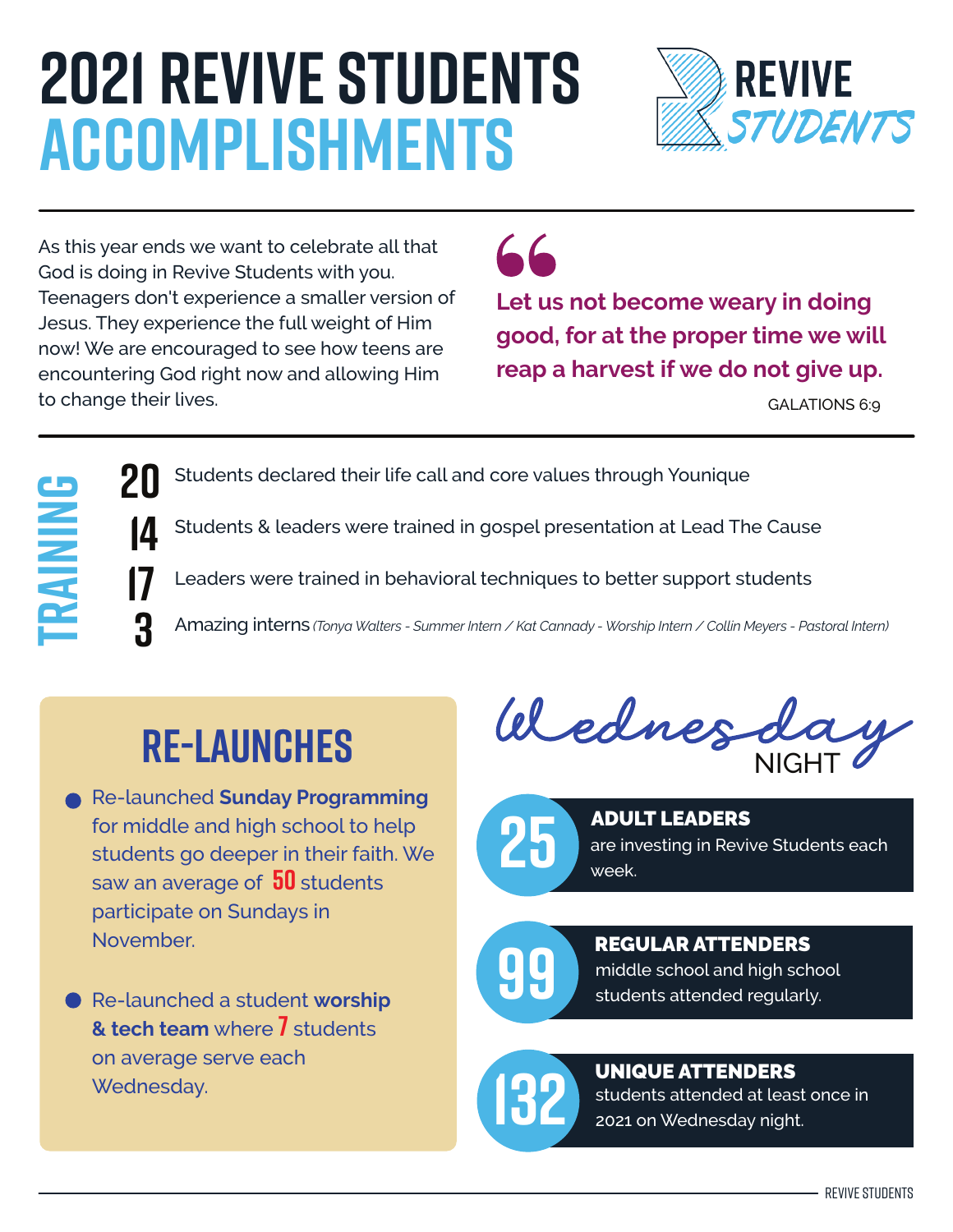## **2021 Revive Students Accomplishments**



As this year ends we want to celebrate all that God is doing in Revive Students with you. Teenagers don't experience a smaller version of Jesus. They experience the full weight of Him now! We are encouraged to see how teens are encountering God right now and allowing Him to change their lives.



**Let us not become weary in doing good, for at the proper time we will reap a harvest if we do not give up.** 

GALATIONS 6:9

Students declared their life call and core values through Younique

Students & leaders were trained in gospel presentation at Lead The Cause

Leaders were trained in behavioral techniques to better support students

Amazing interns *(Tonya Walters - Summer Intern / Kat Cannady - Worship Intern / Collin Meyers - Pastoral Intern)*

### **Re-launches**

**Training** 

**20**

**14**

**17**

**3**

- Re-launched **Sunday Programming** for middle and high school to help students go deeper in their faith. We saw an average of **50** students participate on Sundays in November.
- Re-launched a student **worship & tech team** where **7** students on average serve each Wednesday.

NIGHT



are investing in Revive Students each week. **25** ADULT LEADERS

middle school and high school<br>**99** students attended regularly. REGULAR ATTENDERS

#### UNIQUE ATTENDERS

students attended at least once in **132** 2021 on Wednesday night.